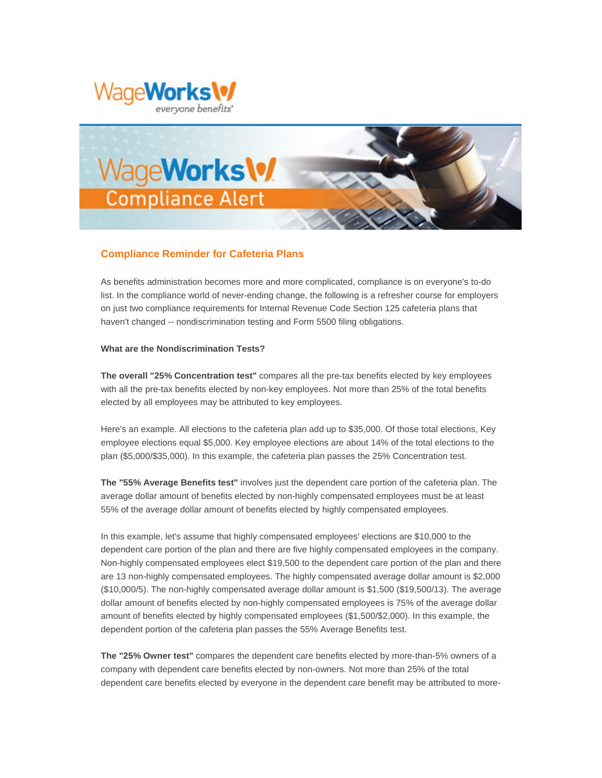



# **Compliance Reminder for Cafeteria Plans**

As benefits administration becomes more and more complicated, compliance is on everyone's to-do list. In the compliance world of never-ending change, the following is a refresher course for employers on just two compliance requirements for Internal Revenue Code Section 125 cafeteria plans that haven't changed -- nondiscrimination testing and Form 5500 filing obligations.

## **What are the Nondiscrimination Tests?**

**The overall "25% Concentration test"** compares all the pre-tax benefits elected by key employees with all the pre-tax benefits elected by non-key employees. Not more than 25% of the total benefits elected by all employees may be attributed to key employees.

Here's an example. All elections to the cafeteria plan add up to \$35,000. Of those total elections, Key employee elections equal \$5,000. Key employee elections are about 14% of the total elections to the plan (\$5,000/\$35,000). In this example, the cafeteria plan passes the 25% Concentration test.

**The "55% Average Benefits test"** involves just the dependent care portion of the cafeteria plan. The average dollar amount of benefits elected by non-highly compensated employees must be at least 55% of the average dollar amount of benefits elected by highly compensated employees.

In this example, let's assume that highly compensated employees' elections are \$10,000 to the dependent care portion of the plan and there are five highly compensated employees in the company. Non-highly compensated employees elect \$19,500 to the dependent care portion of the plan and there are 13 non-highly compensated employees. The highly compensated average dollar amount is \$2,000 (\$10,000/5). The non-highly compensated average dollar amount is \$1,500 (\$19,500/13). The average dollar amount of benefits elected by non-highly compensated employees is 75% of the average dollar amount of benefits elected by highly compensated employees (\$1,500/\$2,000). In this example, the dependent portion of the cafeteria plan passes the 55% Average Benefits test.

**The "25% Owner test"** compares the dependent care benefits elected by more-than-5% owners of a company with dependent care benefits elected by non-owners. Not more than 25% of the total dependent care benefits elected by everyone in the dependent care benefit may be attributed to more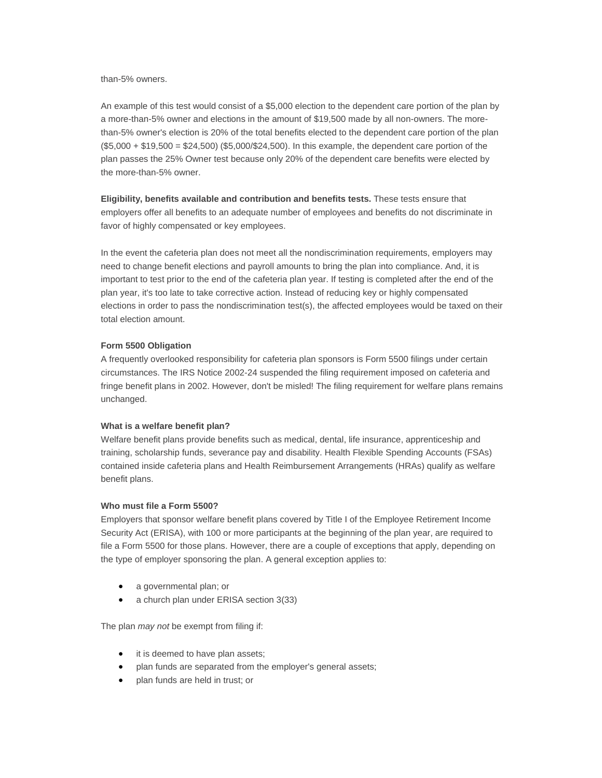than-5% owners.

An example of this test would consist of a \$5,000 election to the dependent care portion of the plan by a more-than-5% owner and elections in the amount of \$19,500 made by all non-owners. The morethan-5% owner's election is 20% of the total benefits elected to the dependent care portion of the plan (\$5,000 + \$19,500 = \$24,500) (\$5,000/\$24,500). In this example, the dependent care portion of the plan passes the 25% Owner test because only 20% of the dependent care benefits were elected by the more-than-5% owner.

**Eligibility, benefits available and contribution and benefits tests.** These tests ensure that employers offer all benefits to an adequate number of employees and benefits do not discriminate in favor of highly compensated or key employees.

In the event the cafeteria plan does not meet all the nondiscrimination requirements, employers may need to change benefit elections and payroll amounts to bring the plan into compliance. And, it is important to test prior to the end of the cafeteria plan year. If testing is completed after the end of the plan year, it's too late to take corrective action. Instead of reducing key or highly compensated elections in order to pass the nondiscrimination test(s), the affected employees would be taxed on their total election amount.

### **Form 5500 Obligation**

A frequently overlooked responsibility for cafeteria plan sponsors is Form 5500 filings under certain circumstances. The IRS Notice 2002-24 suspended the filing requirement imposed on cafeteria and fringe benefit plans in 2002. However, don't be misled! The filing requirement for welfare plans remains unchanged.

#### **What is a welfare benefit plan?**

Welfare benefit plans provide benefits such as medical, dental, life insurance, apprenticeship and training, scholarship funds, severance pay and disability. Health Flexible Spending Accounts (FSAs) contained inside cafeteria plans and Health Reimbursement Arrangements (HRAs) qualify as welfare benefit plans.

#### **Who must file a Form 5500?**

Employers that sponsor welfare benefit plans covered by Title I of the Employee Retirement Income Security Act (ERISA), with 100 or more participants at the beginning of the plan year, are required to file a Form 5500 for those plans. However, there are a couple of exceptions that apply, depending on the type of employer sponsoring the plan. A general exception applies to:

- a governmental plan; or
- a church plan under ERISA section 3(33)

The plan *may not* be exempt from filing if:

- it is deemed to have plan assets;
- plan funds are separated from the employer's general assets;
- plan funds are held in trust; or